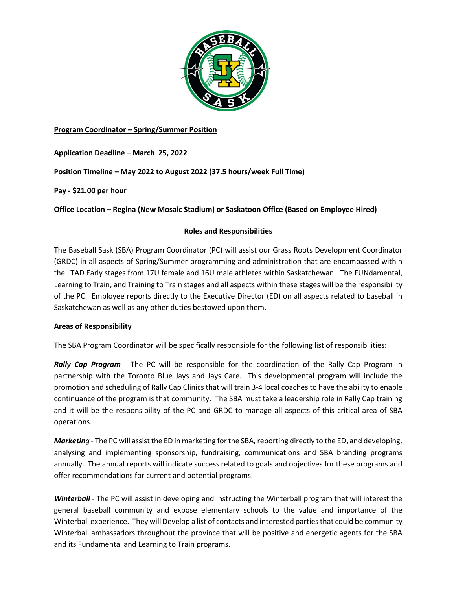

# **Program Coordinator – Spring/Summer Position**

**Application Deadline – March 25, 2022**

**Position Timeline – May 2022 to August 2022 (37.5 hours/week Full Time)**

**Pay - \$21.00 per hour**

**Office Location – Regina (New Mosaic Stadium) or Saskatoon Office (Based on Employee Hired)**

## **Roles and Responsibilities**

The Baseball Sask (SBA) Program Coordinator (PC) will assist our Grass Roots Development Coordinator (GRDC) in all aspects of Spring/Summer programming and administration that are encompassed within the LTAD Early stages from 17U female and 16U male athletes within Saskatchewan. The FUNdamental, Learning to Train, and Training to Train stages and all aspects within these stages will be the responsibility of the PC. Employee reports directly to the Executive Director (ED) on all aspects related to baseball in Saskatchewan as well as any other duties bestowed upon them.

### **Areas of Responsibility**

The SBA Program Coordinator will be specifically responsible for the following list of responsibilities:

*Rally Cap Program -* The PC will be responsible for the coordination of the Rally Cap Program in partnership with the Toronto Blue Jays and Jays Care. This developmental program will include the promotion and scheduling of Rally Cap Clinics that will train 3-4 local coaches to have the ability to enable continuance of the program is that community. The SBA must take a leadership role in Rally Cap training and it will be the responsibility of the PC and GRDC to manage all aspects of this critical area of SBA operations.

*Marketing -* The PC will assist the ED in marketing for the SBA, reporting directly to the ED, and developing, analysing and implementing sponsorship, fundraising, communications and SBA branding programs annually. The annual reports will indicate success related to goals and objectives for these programs and offer recommendations for current and potential programs.

*Winterball -* The PC will assist in developing and instructing the Winterball program that will interest the general baseball community and expose elementary schools to the value and importance of the Winterball experience. They will Develop a list of contacts and interested parties that could be community Winterball ambassadors throughout the province that will be positive and energetic agents for the SBA and its Fundamental and Learning to Train programs.